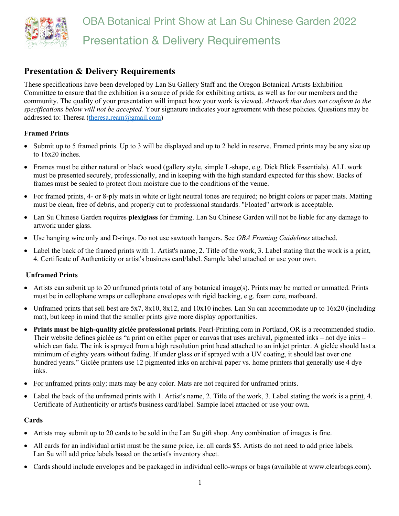

# **Presentation & Delivery Requirements**

These specifications have been developed by Lan Su Gallery Staff and the Oregon Botanical Artists Exhibition Committee to ensure that the exhibition is a source of pride for exhibiting artists, as well as for our members and the community. The quality of your presentation will impact how your work is viewed. *Artwork that does not conform to the specifications below will not be accepted.* Your signature indicates your agreement with these policies. Questions may be addressed to: Theresa (theresa.ream@gmail.com)

### **Framed Prints**

- Submit up to 5 framed prints. Up to 3 will be displayed and up to 2 held in reserve. Framed prints may be any size up to 16x20 inches.
- Frames must be either natural or black wood (gallery style, simple L-shape, e.g. Dick Blick Essentials). ALL work must be presented securely, professionally, and in keeping with the high standard expected for this show. Backs of frames must be sealed to protect from moisture due to the conditions of the venue.
- For framed prints, 4- or 8-ply mats in white or light neutral tones are required; no bright colors or paper mats. Matting must be clean, free of debris, and properly cut to professional standards. "Floated" artwork is acceptable.
- Lan Su Chinese Garden requires **plexiglass** for framing. Lan Su Chinese Garden will not be liable for any damage to artwork under glass.
- Use hanging wire only and D-rings. Do not use sawtooth hangers. See *OBA Framing Guidelines* attached.
- Label the back of the framed prints with 1. Artist's name, 2. Title of the work, 3. Label stating that the work is a print, 4. Certificate of Authenticity or artist's business card/label. Sample label attached or use your own.

#### **Unframed Prints**

- Artists can submit up to 20 unframed prints total of any botanical image(s). Prints may be matted or unmatted. Prints must be in cellophane wraps or cellophane envelopes with rigid backing, e.g. foam core, matboard.
- Unframed prints that sell best are 5x7, 8x10, 8x12, and 10x10 inches. Lan Su can accommodate up to 16x20 (including mat), but keep in mind that the smaller prints give more display opportunities.
- **Prints must be high-quality giclée professional prints.** Pearl-Printing.com in Portland, OR is a recommended studio. Their website defines giclée as "a print on either paper or canvas that uses archival, pigmented inks – not dye inks – which can fade. The ink is sprayed from a high resolution print head attached to an inkjet printer. A giclée should last a minimum of eighty years without fading. If under glass or if sprayed with a UV coating, it should last over one hundred years." Giclée printers use 12 pigmented inks on archival paper vs. home printers that generally use 4 dye inks.
- For unframed prints only: mats may be any color. Mats are not required for unframed prints.
- Label the back of the unframed prints with 1. Artist's name, 2. Title of the work, 3. Label stating the work is a print, 4. Certificate of Authenticity or artist's business card/label. Sample label attached or use your own.

#### **Cards**

- Artists may submit up to 20 cards to be sold in the Lan Su gift shop. Any combination of images is fine.
- All cards for an individual artist must be the same price, i.e. all cards \$5. Artists do not need to add price labels. Lan Su will add price labels based on the artist's inventory sheet.
- Cards should include envelopes and be packaged in individual cello-wraps or bags (available at www.clearbags.com).